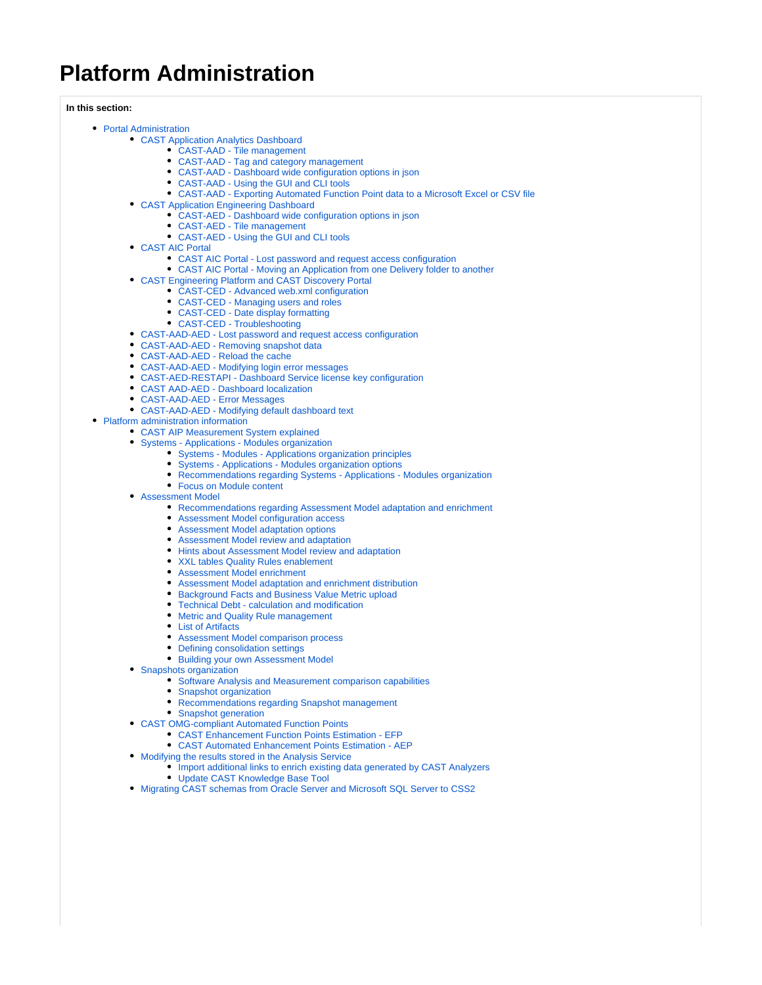## **Platform Administration**

**In this section:**

- [Portal Administration](https://doc.castsoftware.com/display/DOC82/Portal+Administration)
	- [CAST Application Analytics Dashboard](https://doc.castsoftware.com/display/DOC82/CAST+Application+Analytics+Dashboard)
		- [CAST-AAD Tile management](https://doc.castsoftware.com/display/DOC82/CAST-AAD+-+Tile+management)
		- [CAST-AAD Tag and category management](https://doc.castsoftware.com/display/DOC82/CAST-AAD+-+Tag+and+category+management)
		- [CAST-AAD Dashboard wide configuration options in json](https://doc.castsoftware.com/display/DOC82/CAST-AAD+-+Dashboard+wide+configuration+options+in+json)
		- [CAST-AAD Using the GUI and CLI tools](https://doc.castsoftware.com/display/DOC82/CAST-AAD+-+Using+the+GUI+and+CLI+tools)
		- [CAST-AAD Exporting Automated Function Point data to a Microsoft Excel or CSV file](https://doc.castsoftware.com/display/DOC82/CAST-AAD+-+Exporting+Automated+Function+Point+data+to+a+Microsoft+Excel+or+CSV+file)
	- [CAST Application Engineering Dashboard](https://doc.castsoftware.com/display/DOC82/CAST+Application+Engineering+Dashboard)
		- [CAST-AED Dashboard wide configuration options in json](https://doc.castsoftware.com/display/DOC82/CAST-AED+-+Dashboard+wide+configuration+options+in+json)
			- [CAST-AED Tile management](https://doc.castsoftware.com/display/DOC82/CAST-AED+-+Tile+management)
		- [CAST-AED Using the GUI and CLI tools](https://doc.castsoftware.com/display/DOC82/CAST-AED+-+Using+the+GUI+and+CLI+tools)
	- [CAST AIC Portal](https://doc.castsoftware.com/display/DOC82/CAST+AIC+Portal)
		- [CAST AIC Portal Lost password and request access configuration](https://doc.castsoftware.com/display/DOC82/CAST+AIC+Portal+-+Lost+password+and+request+access+configuration)
		- [CAST AIC Portal Moving an Application from one Delivery folder to another](https://doc.castsoftware.com/display/DOC82/CAST+AIC+Portal+-+Moving+an+Application+from+one+Delivery+folder+to+another)
	- [CAST Engineering Platform and CAST Discovery Portal](https://doc.castsoftware.com/display/DOC82/CAST+Engineering+Platform+and+CAST+Discovery+Portal)
		- [CAST-CED Advanced web.xml configuration](https://doc.castsoftware.com/display/DOC82/CAST-CED+-+Advanced+web.xml+configuration)
		- [CAST-CED Managing users and roles](https://doc.castsoftware.com/display/DOC82/CAST-CED+-+Managing+users+and+roles)
		- [CAST-CED Date display formatting](https://doc.castsoftware.com/display/DOC82/CAST-CED+-+Date+display+formatting)
		- [CAST-CED Troubleshooting](https://doc.castsoftware.com/display/DOC82/CAST-CED+-+Troubleshooting)
	- [CAST-AAD-AED Lost password and request access configuration](https://doc.castsoftware.com/display/DOC82/CAST-AAD-AED+-+Lost+password+and+request+access+configuration)
	- [CAST-AAD-AED Removing snapshot data](https://doc.castsoftware.com/display/DOC82/CAST-AAD-AED+-+Removing+snapshot+data)
	- [CAST-AAD-AED Reload the cache](https://doc.castsoftware.com/display/DOC82/CAST-AAD-AED+-+Reload+the+cache)
	- [CAST-AAD-AED Modifying login error messages](https://doc.castsoftware.com/display/DOC82/CAST-AAD-AED+-+Modifying+login+error+messages)
	- [CAST-AED-RESTAPI Dashboard Service license key configuration](https://doc.castsoftware.com/display/DOC82/CAST-AED-RESTAPI+-+Dashboard+Service+license+key+configuration)
	- [CAST AAD-AED Dashboard localization](https://doc.castsoftware.com/display/DOC82/CAST+AAD-AED+-+Dashboard+localization)
	- [CAST-AAD-AED Error Messages](https://doc.castsoftware.com/display/DOC82/CAST-AAD-AED+-+Error+Messages)
	- [CAST-AAD-AED Modifying default dashboard text](https://doc.castsoftware.com/display/DOC82/CAST-AAD-AED+-+Modifying+default+dashboard+text)
- [Platform administration information](https://doc.castsoftware.com/display/DOC82/Platform+administration+information)
	- [CAST AIP Measurement System explained](https://doc.castsoftware.com/display/DOC82/CAST+AIP+Measurement+System+explained)
	- [Systems Applications Modules organization](https://doc.castsoftware.com/display/DOC82/Systems+-+Applications+-+Modules+organization)
		- [Systems Modules Applications organization principles](https://doc.castsoftware.com/display/DOC82/Systems+-+Modules+-+Applications+organization+principles)
		- $\bullet$ [Systems - Applications - Modules organization options](https://doc.castsoftware.com/display/DOC82/Systems+-+Applications+-+Modules+organization+options)
		- [Recommendations regarding Systems Applications Modules organization](https://doc.castsoftware.com/display/DOC82/Recommendations+regarding+Systems+-+Applications+-+Modules+organization)
		- [Focus on Module content](https://doc.castsoftware.com/display/DOC82/Focus+on+Module+content)
	- [Assessment Model](https://doc.castsoftware.com/display/DOC82/Assessment+Model)
		- [Recommendations regarding Assessment Model adaptation and enrichment](https://doc.castsoftware.com/display/DOC82/Recommendations+regarding+Assessment+Model+adaptation+and+enrichment)
		- [Assessment Model configuration access](https://doc.castsoftware.com/display/DOC82/Assessment+Model+configuration+access)
		- [Assessment Model adaptation options](https://doc.castsoftware.com/display/DOC82/Assessment+Model+adaptation+options)
		- [Assessment Model review and adaptation](https://doc.castsoftware.com/display/DOC82/Assessment+Model+review+and+adaptation)
		- [Hints about Assessment Model review and adaptation](https://doc.castsoftware.com/display/DOC82/Hints+about+Assessment+Model+review+and+adaptation)
		- [XXL tables Quality Rules enablement](https://doc.castsoftware.com/display/DOC82/XXL+tables+Quality+Rules+enablement)
		- [Assessment Model enrichment](https://doc.castsoftware.com/display/DOC82/Assessment+Model+enrichment)
		- [Assessment Model adaptation and enrichment distribution](https://doc.castsoftware.com/display/DOC82/Assessment+Model+adaptation+and+enrichment+distribution)
		- [Background Facts and Business Value Metric upload](https://doc.castsoftware.com/display/DOC82/Background+Facts+and+Business+Value+Metric+upload)
		- [Technical Debt calculation and modification](https://doc.castsoftware.com/display/DOC82/Technical+Debt+-+calculation+and+modification)
		- [Metric and Quality Rule management](https://doc.castsoftware.com/display/DOC82/Metric+and+Quality+Rule+management)
		- [List of Artifacts](https://doc.castsoftware.com/display/DOC82/List+of+Artifacts)
		- [Assessment Model comparison process](https://doc.castsoftware.com/display/DOC82/Assessment+Model+comparison+process)
		- [Defining consolidation settings](https://doc.castsoftware.com/display/DOC82/Defining+consolidation+settings)
		- [Building your own Assessment Model](https://doc.castsoftware.com/display/DOC82/Building+your+own+Assessment+Model)
	- [Snapshots organization](https://doc.castsoftware.com/display/DOC82/Snapshots+organization)
		- [Software Analysis and Measurement comparison capabilities](https://doc.castsoftware.com/display/DOC82/Software+Analysis+and+Measurement+comparison+capabilities)
		- **[Snapshot organization](https://doc.castsoftware.com/display/DOC82/Snapshot+organization)**
		- [Recommendations regarding Snapshot management](https://doc.castsoftware.com/display/DOC82/Recommendations+regarding+Snapshot+management)
		- **[Snapshot generation](https://doc.castsoftware.com/display/DOC82/Snapshot+generation)**
	- [CAST OMG-compliant Automated Function Points](https://doc.castsoftware.com/display/DOC82/CAST+OMG-compliant+Automated+Function+Points)
		- [CAST Enhancement Function Points Estimation EFP](https://doc.castsoftware.com/display/DOC82/CAST+Enhancement+Function+Points+Estimation+-+EFP)
			- [CAST Automated Enhancement Points Estimation AEP](https://doc.castsoftware.com/display/DOC82/CAST+Automated+Enhancement+Points+Estimation+-+AEP)
	- [Modifying the results stored in the Analysis Service](https://doc.castsoftware.com/display/DOC82/Modifying+the+results+stored+in+the+Analysis+Service)
		- $\bullet$  [Import additional links to enrich existing data generated by CAST Analyzers](https://doc.castsoftware.com/display/DOC82/Import+additional+links+to+enrich+existing+data+generated+by+CAST+Analyzers) [Update CAST Knowledge Base Tool](https://doc.castsoftware.com/display/DOC82/Update+CAST+Knowledge+Base+Tool)
	- [Migrating CAST schemas from Oracle Server and Microsoft SQL Server to CSS2](https://doc.castsoftware.com/display/DOC82/Migrating+CAST+schemas+from+Oracle+Server+and+Microsoft+SQL+Server+to+CSS2)